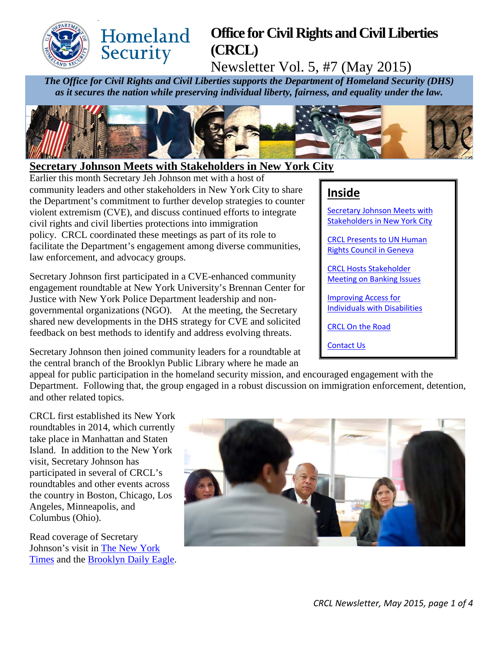

#### Homeland **Office for Civil Rights and Civil Liberties**  Security **(CRCL)**

Newsletter Vol. 5, #7 (May 2015)

*The Office for Civil Rights and Civil Liberties supports the Department of Homeland Security (DHS) as it secures the nation while preserving individual liberty, fairness, and equality under the law.*



### <span id="page-0-0"></span>**Secretary Johnson Meets with Stakeholders in New York City**

Earlier this month Secretary Jeh Johnson met with a host of community leaders and other stakeholders in New York City to share the Department's commitment to further develop strategies to counter violent extremism (CVE), and discuss continued efforts to integrate civil rights and civil liberties protections into immigration policy. CRCL coordinated these meetings as part of its role to facilitate the Department's engagement among diverse communities, law enforcement, and advocacy groups.

Secretary Johnson first participated in a CVE-enhanced community engagement roundtable at New York University's Brennan Center for Justice with New York Police Department leadership and nongovernmental organizations (NGO). At the meeting, the Secretary shared new developments in the DHS strategy for CVE and solicited feedback on best methods to identify and address evolving threats.

Secretary Johnson then joined community leaders for a roundtable at the central branch of the Brooklyn Public Library where he made an

# **Inside**

[Secretary Johnson Meets with](#page-0-0)  Stakeholders [in New York City](#page-0-0)

[CRCL Presents to UN Human](#page-0-1)  [Rights Council in Geneva](#page-0-1) 

[CRCL Hosts Stakeholder](#page-1-0)  [Meeting on Banking](#page-1-0) Issues

[Improving Access for](#page-2-0)  [Individuals with Disabilities](#page-2-0)

[CRCL On the Road](#page-2-1)

[Contact Us](#page-3-0)

appeal for public participation in the homeland security mission, and encouraged engagement with the Department. Following that, the group engaged in a robust discussion on immigration enforcement, detention, and other related topics.

CRCL first established its New York roundtables in 2014, which currently take place in Manhattan and Staten Island. In addition to the New York visit, Secretary Johnson has participated in several of CRCL's roundtables and other events across the country in Boston, Chicago, Los Angeles, Minneapolis, and Columbus (Ohio).

<span id="page-0-1"></span>Read coverage of Secretary Johnson's visit in [The New York](http://www.nytimes.com/2015/05/08/nyregion/homeland-security-chief-hears-skepticism-on-effort-to-identify-extremists.html?_r=1)  [Times](http://www.nytimes.com/2015/05/08/nyregion/homeland-security-chief-hears-skepticism-on-effort-to-identify-extremists.html?_r=1) and the [Brooklyn Daily Eagle.](http://www.brooklyneagle.com/articles/2015/5/8/dhs-head-johnson-asks-brooklyn-groups-help-fighting-home-grown-terrorism)

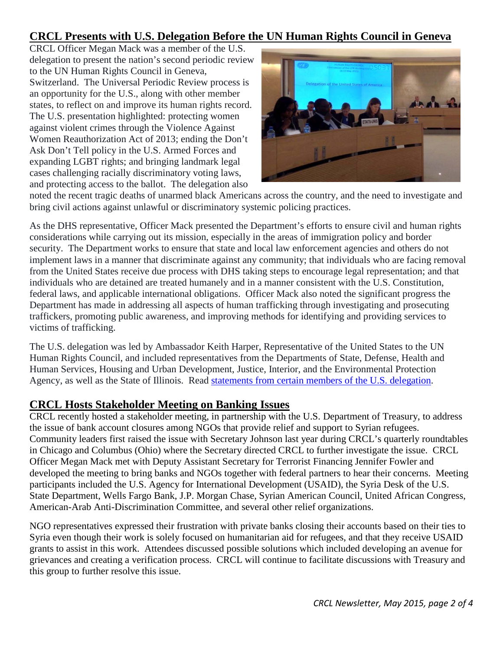## **CRCL Presents with U.S. Delegation Before the UN Human Rights Council in Geneva**

CRCL Officer Megan Mack was a member of the U.S. delegation to present the nation's second periodic review to the UN Human Rights Council in Geneva, Switzerland. The Universal Periodic Review process is an opportunity for the U.S., along with other member states, to reflect on and improve its human rights record. The U.S. presentation highlighted: protecting women against violent crimes through the Violence Against Women Reauthorization Act of 2013; ending the Don't Ask Don't Tell policy in the U.S. Armed Forces and expanding LGBT rights; and bringing landmark legal cases challenging racially discriminatory voting laws, and protecting access to the ballot. The delegation also



noted the recent tragic deaths of unarmed black Americans across the country, and the need to investigate and bring civil actions against unlawful or discriminatory systemic policing practices.

As the DHS representative, Officer Mack presented the Department's efforts to ensure civil and human rights considerations while carrying out its mission, especially in the areas of immigration policy and border security. The Department works to ensure that state and local law enforcement agencies and others do not implement laws in a manner that discriminate against any community; that individuals who are facing removal from the United States receive due process with DHS taking steps to encourage legal representation; and that individuals who are detained are treated humanely and in a manner consistent with the U.S. Constitution, federal laws, and applicable international obligations. Officer Mack also noted the significant progress the Department has made in addressing all aspects of human trafficking through investigating and prosecuting traffickers, promoting public awareness, and improving methods for identifying and providing services to victims of trafficking.

The U.S. delegation was led by Ambassador Keith Harper, Representative of the United States to the UN Human Rights Council, and included representatives from the Departments of State, Defense, Health and Human Services, Housing and Urban Development, Justice, Interior, and the Environmental Protection Agency, as well as the State of Illinois. Read [statements from certain members of the U.S. delegation.](https://geneva.usmission.gov/category/human-rights/hrc/)

### <span id="page-1-0"></span>**CRCL Hosts Stakeholder Meeting on Banking Issues**

CRCL recently hosted a stakeholder meeting, in partnership with the U.S. Department of Treasury, to address the issue of bank account closures among NGOs that provide relief and support to Syrian refugees. Community leaders first raised the issue with Secretary Johnson last year during CRCL's quarterly roundtables in Chicago and Columbus (Ohio) where the Secretary directed CRCL to further investigate the issue. CRCL Officer Megan Mack met with Deputy Assistant Secretary for Terrorist Financing Jennifer Fowler and developed the meeting to bring banks and NGOs together with federal partners to hear their concerns. Meeting participants included the U.S. Agency for International Development (USAID), the Syria Desk of the U.S. State Department, Wells Fargo Bank, J.P. Morgan Chase, Syrian American Council, United African Congress, American-Arab Anti-Discrimination Committee, and several other relief organizations.

NGO representatives expressed their frustration with private banks closing their accounts based on their ties to Syria even though their work is solely focused on humanitarian aid for refugees, and that they receive USAID grants to assist in this work. Attendees discussed possible solutions which included developing an avenue for grievances and creating a verification process. CRCL will continue to facilitate discussions with Treasury and this group to further resolve this issue.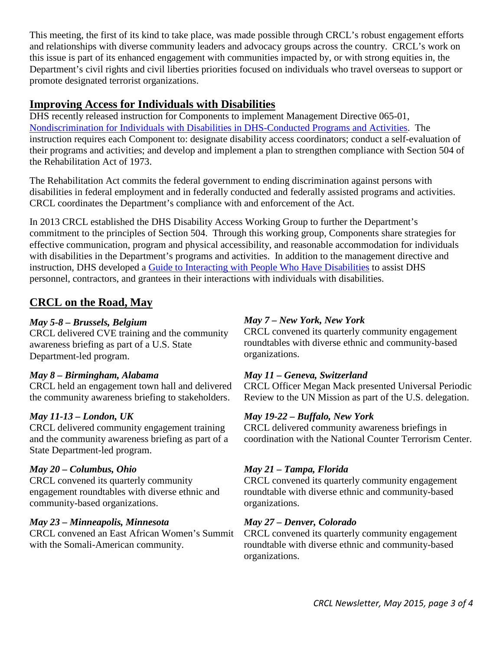This meeting, the first of its kind to take place, was made possible through CRCL's robust engagement efforts and relationships with diverse community leaders and advocacy groups across the country. CRCL's work on this issue is part of its enhanced engagement with communities impacted by, or with strong equities in, the Department's civil rights and civil liberties priorities focused on individuals who travel overseas to support or promote designated terrorist organizations.

### <span id="page-2-0"></span>**Improving Access for Individuals with Disabilities**

DHS recently released instruction for Components to implement Management Directive 065-01, [Nondiscrimination for Individuals with Disabilities in DHS-Conducted Programs and Activities.](http://www.dhs.gov/sites/default/files/publications/dhs-management-directive-disability-access_0.pdf) The instruction requires each Component to: designate disability access coordinators; conduct a self-evaluation of their programs and activities; and develop and implement a plan to strengthen compliance with Section 504 of the Rehabilitation Act of 1973.

The Rehabilitation Act commits the federal government to ending discrimination against persons with disabilities in federal employment and in federally conducted and federally assisted programs and activities. CRCL coordinates the Department's compliance with and enforcement of the Act.

In 2013 CRCL established the DHS Disability Access Working Group to further the Department's commitment to the principles of Section 504. Through this working group, Components share strategies for effective communication, program and physical accessibility, and reasonable accommodation for individuals with disabilities in the Department's programs and activities. In addition to the management directive and instruction, DHS developed a [Guide to Interacting with People Who Have Disabilities](http://www.dhs.gov/sites/default/files/publications/guide-interacting-with-people-who-have-disabilties_09-26-13.pdf) to assist DHS personnel, contractors, and grantees in their interactions with individuals with disabilities.

## <span id="page-2-1"></span>**CRCL on the Road, May**

#### *May 5-8 – Brussels, Belgium*

CRCL delivered CVE training and the community awareness briefing as part of a U.S. State Department-led program.

#### *May 8 – Birmingham, Alabama*

CRCL held an engagement town hall and delivered the community awareness briefing to stakeholders.

#### *May 11-13 – London, UK*

CRCL delivered community engagement training and the community awareness briefing as part of a State Department-led program.

#### *May 20 – Columbus, Ohio*

CRCL convened its quarterly community engagement roundtables with diverse ethnic and community-based organizations.

#### *May 23 – Minneapolis, Minnesota*

CRCL convened an East African Women's Summit with the Somali-American community.

#### *May 7 – New York, New York*

CRCL convened its quarterly community engagement roundtables with diverse ethnic and community-based organizations.

#### *May 11 – Geneva, Switzerland*

CRCL Officer Megan Mack presented Universal Periodic Review to the UN Mission as part of the U.S. delegation.

### *May 19-22 – Buffalo, New York*

CRCL delivered community awareness briefings in coordination with the National Counter Terrorism Center.

### *May 21 – Tampa, Florida*

CRCL convened its quarterly community engagement roundtable with diverse ethnic and community-based organizations.

#### *May 27 – Denver, Colorado*

CRCL convened its quarterly community engagement roundtable with diverse ethnic and community-based organizations.